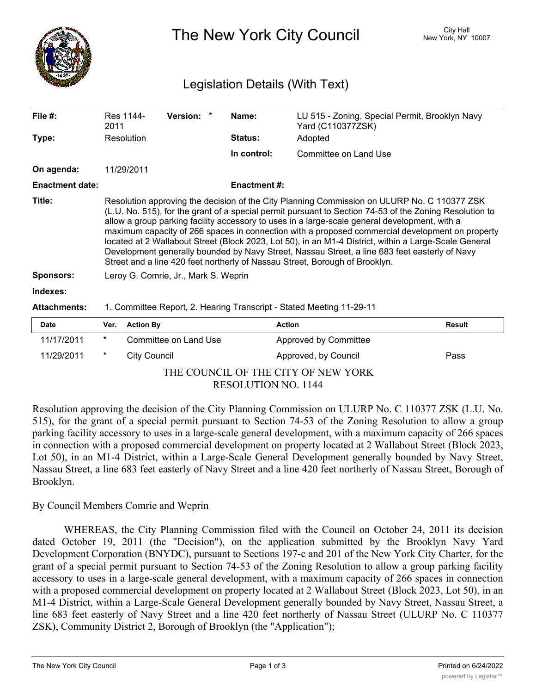

The New York City Council New York, NY 10007

## Legislation Details (With Text)

| File $#$ :             | 2011                                                                                                                                                                                                                                                                                                                                                                                                                                                                                                                                                                                                                                                                                                | Res 1144-           | Version: *            | Name:               | LU 515 - Zoning, Special Permit, Brooklyn Navy<br>Yard (C110377ZSK) |               |
|------------------------|-----------------------------------------------------------------------------------------------------------------------------------------------------------------------------------------------------------------------------------------------------------------------------------------------------------------------------------------------------------------------------------------------------------------------------------------------------------------------------------------------------------------------------------------------------------------------------------------------------------------------------------------------------------------------------------------------------|---------------------|-----------------------|---------------------|---------------------------------------------------------------------|---------------|
| Type:                  |                                                                                                                                                                                                                                                                                                                                                                                                                                                                                                                                                                                                                                                                                                     | Resolution          |                       | <b>Status:</b>      | Adopted                                                             |               |
|                        |                                                                                                                                                                                                                                                                                                                                                                                                                                                                                                                                                                                                                                                                                                     |                     |                       | In control:         | Committee on Land Use                                               |               |
| On agenda:             |                                                                                                                                                                                                                                                                                                                                                                                                                                                                                                                                                                                                                                                                                                     | 11/29/2011          |                       |                     |                                                                     |               |
| <b>Enactment date:</b> |                                                                                                                                                                                                                                                                                                                                                                                                                                                                                                                                                                                                                                                                                                     |                     |                       | <b>Enactment #:</b> |                                                                     |               |
| Title:                 | Resolution approving the decision of the City Planning Commission on ULURP No. C 110377 ZSK<br>(L.U. No. 515), for the grant of a special permit pursuant to Section 74-53 of the Zoning Resolution to<br>allow a group parking facility accessory to uses in a large-scale general development, with a<br>maximum capacity of 266 spaces in connection with a proposed commercial development on property<br>located at 2 Wallabout Street (Block 2023, Lot 50), in an M1-4 District, within a Large-Scale General<br>Development generally bounded by Navy Street, Nassau Street, a line 683 feet easterly of Navy<br>Street and a line 420 feet northerly of Nassau Street, Borough of Brooklyn. |                     |                       |                     |                                                                     |               |
| <b>Sponsors:</b>       | Leroy G. Comrie, Jr., Mark S. Weprin                                                                                                                                                                                                                                                                                                                                                                                                                                                                                                                                                                                                                                                                |                     |                       |                     |                                                                     |               |
| Indexes:               |                                                                                                                                                                                                                                                                                                                                                                                                                                                                                                                                                                                                                                                                                                     |                     |                       |                     |                                                                     |               |
| <b>Attachments:</b>    | 1. Committee Report, 2. Hearing Transcript - Stated Meeting 11-29-11                                                                                                                                                                                                                                                                                                                                                                                                                                                                                                                                                                                                                                |                     |                       |                     |                                                                     |               |
| <b>Date</b>            | Ver.                                                                                                                                                                                                                                                                                                                                                                                                                                                                                                                                                                                                                                                                                                | <b>Action By</b>    |                       |                     | <b>Action</b>                                                       | <b>Result</b> |
| 11/17/2011             | $^\star$                                                                                                                                                                                                                                                                                                                                                                                                                                                                                                                                                                                                                                                                                            |                     | Committee on Land Use |                     | Approved by Committee                                               |               |
| 11/29/2011             | $\ast$                                                                                                                                                                                                                                                                                                                                                                                                                                                                                                                                                                                                                                                                                              | <b>City Council</b> |                       |                     | Approved, by Council                                                | Pass          |

THE COUNCIL OF THE CITY OF NEW YORK RESOLUTION NO. 1144

Resolution approving the decision of the City Planning Commission on ULURP No. C 110377 ZSK (L.U. No. 515), for the grant of a special permit pursuant to Section 74-53 of the Zoning Resolution to allow a group parking facility accessory to uses in a large-scale general development, with a maximum capacity of 266 spaces in connection with a proposed commercial development on property located at 2 Wallabout Street (Block 2023, Lot 50), in an M1-4 District, within a Large-Scale General Development generally bounded by Navy Street, Nassau Street, a line 683 feet easterly of Navy Street and a line 420 feet northerly of Nassau Street, Borough of Brooklyn.

## By Council Members Comrie and Weprin

WHEREAS, the City Planning Commission filed with the Council on October 24, 2011 its decision dated October 19, 2011 (the "Decision"), on the application submitted by the Brooklyn Navy Yard Development Corporation (BNYDC), pursuant to Sections 197-c and 201 of the New York City Charter, for the grant of a special permit pursuant to Section 74-53 of the Zoning Resolution to allow a group parking facility accessory to uses in a large-scale general development, with a maximum capacity of 266 spaces in connection with a proposed commercial development on property located at 2 Wallabout Street (Block 2023, Lot 50), in an M1-4 District, within a Large-Scale General Development generally bounded by Navy Street, Nassau Street, a line 683 feet easterly of Navy Street and a line 420 feet northerly of Nassau Street (ULURP No. C 110377 ZSK), Community District 2, Borough of Brooklyn (the "Application");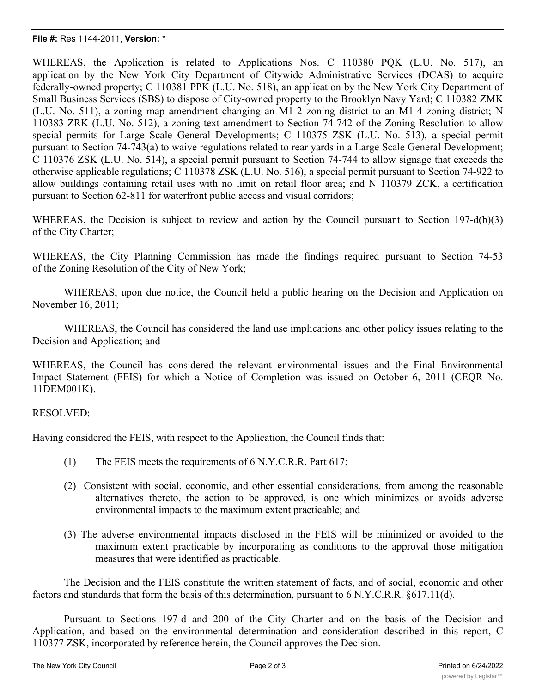## **File #:** Res 1144-2011, **Version:** \*

WHEREAS, the Application is related to Applications Nos. C 110380 PQK (L.U. No. 517), an application by the New York City Department of Citywide Administrative Services (DCAS) to acquire federally-owned property; C 110381 PPK (L.U. No. 518), an application by the New York City Department of Small Business Services (SBS) to dispose of City-owned property to the Brooklyn Navy Yard; C 110382 ZMK (L.U. No. 511), a zoning map amendment changing an M1-2 zoning district to an M1-4 zoning district; N 110383 ZRK (L.U. No. 512), a zoning text amendment to Section 74-742 of the Zoning Resolution to allow special permits for Large Scale General Developments; C 110375 ZSK (L.U. No. 513), a special permit pursuant to Section 74-743(a) to waive regulations related to rear yards in a Large Scale General Development; C 110376 ZSK (L.U. No. 514), a special permit pursuant to Section 74-744 to allow signage that exceeds the otherwise applicable regulations; C 110378 ZSK (L.U. No. 516), a special permit pursuant to Section 74-922 to allow buildings containing retail uses with no limit on retail floor area; and N 110379 ZCK, a certification pursuant to Section 62-811 for waterfront public access and visual corridors;

WHEREAS, the Decision is subject to review and action by the Council pursuant to Section 197-d(b)(3) of the City Charter;

WHEREAS, the City Planning Commission has made the findings required pursuant to Section 74-53 of the Zoning Resolution of the City of New York;

WHEREAS, upon due notice, the Council held a public hearing on the Decision and Application on November 16, 2011;

WHEREAS, the Council has considered the land use implications and other policy issues relating to the Decision and Application; and

WHEREAS, the Council has considered the relevant environmental issues and the Final Environmental Impact Statement (FEIS) for which a Notice of Completion was issued on October 6, 2011 (CEQR No. 11DEM001K).

## RESOLVED:

Having considered the FEIS, with respect to the Application, the Council finds that:

- (1) The FEIS meets the requirements of 6 N.Y.C.R.R. Part 617;
- (2) Consistent with social, economic, and other essential considerations, from among the reasonable alternatives thereto, the action to be approved, is one which minimizes or avoids adverse environmental impacts to the maximum extent practicable; and
- (3) The adverse environmental impacts disclosed in the FEIS will be minimized or avoided to the maximum extent practicable by incorporating as conditions to the approval those mitigation measures that were identified as practicable.

The Decision and the FEIS constitute the written statement of facts, and of social, economic and other factors and standards that form the basis of this determination, pursuant to 6 N.Y.C.R.R. §617.11(d).

Pursuant to Sections 197-d and 200 of the City Charter and on the basis of the Decision and Application, and based on the environmental determination and consideration described in this report, C 110377 ZSK, incorporated by reference herein, the Council approves the Decision.